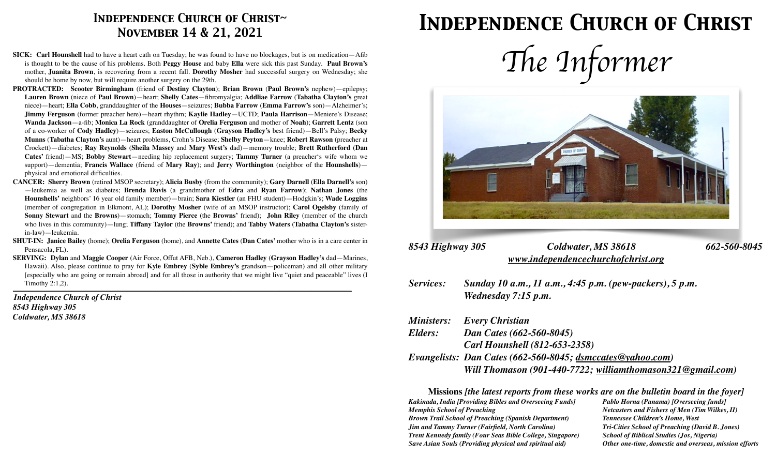## *Independence Church of Christ~ November 14 & 21, 2021*

- **SICK: Carl Hounshell** had to have a heart cath on Tuesday; he was found to have no blockages, but is on medication—Afib is thought to be the cause of his problems. Both **Peggy House** and baby **Ella** were sick this past Sunday. **Paul Brown's**  mother, **Juanita Brown**, is recovering from a recent fall. **Dorothy Mosher** had successful surgery on Wednesday; she should be home by now, but will require another surgery on the 29th.
- **PROTRACTED: Scooter Birmingham** (friend of **Destiny Clayton**); **Brian Brown** (**Paul Brown's** nephew)—epilepsy; **Lauren Brown** (niece of **Paul Brown**)—heart; **Shelly Cates**—fibromyalgia; **Addliae Farrow** (**Tabatha Clayton's** great niece)—heart; **Ella Cobb**, granddaughter of the **Houses**—seizures; **Bubba Farrow** (**Emma Farrow's** son)—Alzheimer's; **Jimmy Ferguson** (former preacher here)—heart rhythm; **Kaylie Hadley**—UCTD; **Paula Harrison**—Meniere's Disease; **Wanda Jackson**—a-fib; **Monica La Rock** (granddaughter of **Orelia Ferguson** and mother of **Noah**); **Garrett Lentz** (son of a co-worker of **Cody Hadley**)—seizures; **Easton McCullough** (**Grayson Hadley's** best friend)—Bell's Palsy; **Becky Munns** (**Tabatha Clayton's** aunt)—heart problems, Crohn's Disease; **Shelby Peyton**—knee; **Robert Rawson** (preacher at Crockett)—diabetes; **Ray Reynolds** (**Sheila Massey** and **Mary West's** dad)—memory trouble; **Brett Rutherford** (**Dan Cates'** friend)—MS; **Bobby Stewart**—needing hip replacement surgery; **Tammy Turner** (a preacher's wife whom we support)—dementia; **Francis Wallace** (friend of **Mary Ray**); and **Jerry Worthington** (neighbor of the **Hounshells**) physical and emotional difficulties.
- **CANCER: Sherry Brown** (retired MSOP secretary); **Alicia Busby** (from the community); **Gary Darnell** (**Ella Darnell's** son) —leukemia as well as diabetes; **Brenda Davis** (a grandmother of **Edra** and **Ryan Farrow**); **Nathan Jones** (the **Hounshells'** neighbors' 16 year old family member)—brain; **Sara Kiestler** (an FHU student)—Hodgkin's; **Wade Loggins**  (member of congregation in Elkmont, AL); **Dorothy Mosher** (wife of an MSOP instructor); **Carol Ogelsby** (family of **Sonny Stewart** and the **Browns**)—stomach; **Tommy Pierce** (the **Browns'** friend); **John Riley** (member of the church who lives in this community)—lung; **Tiffany Taylor** (the **Browns'** friend); and **Tabby Waters** (**Tabatha Clayton's** sisterin-law)—leukemia.
- **SHUT-IN: Janice Bailey** (home); **Orelia Ferguson** (home), and **Annette Cates** (**Dan Cates'** mother who is in a care center in Pensacola, FL).
- **SERVING: Dylan** and **Maggie Cooper** (Air Force, Offut AFB, Neb.), **Cameron Hadley** (**Grayson Hadley's** dad—Marines, Hawaii). Also, please continue to pray for **Kyle Embrey** (**Syble Embrey's** grandson—policeman) and all other military [especially who are going or remain abroad] and for all those in authority that we might live "quiet and peaceable" lives (I Timothy 2:1,2). *\_\_\_\_\_\_\_\_\_\_\_\_\_\_\_\_\_\_\_\_\_\_\_\_\_\_\_\_\_\_\_\_\_\_\_\_\_\_\_\_\_\_\_\_\_\_\_\_\_\_\_\_\_\_\_\_\_\_\_\_\_\_\_\_\_\_\_\_\_\_\_\_\_\_\_\_\_\_\_\_\_\_\_\_\_\_\_\_\_\_\_\_\_\_\_\_\_\_\_\_\_\_\_\_\_\_\_\_\_\_\_\_\_\_\_\_\_\_\_\_\_\_\_\_\_\_\_\_\_\_\_\_\_\_\_\_\_\_\_\_\_\_\_\_\_\_\_\_\_\_\_\_\_\_\_\_\_\_\_\_\_\_\_\_\_*

*Independence Church of Christ 8543 Highway 305 Coldwater, MS 38618*

# *Independence Church of Christ*





#### *8543 Highway 305 Coldwater, MS 38618 662-560-8045 [www.independencechurchofchrist.org](http://www.independencechurchofchrist.org)*

*Services: Sunday 10 a.m., 11 a.m., 4:45 p.m. (pew-packers), 5 p.m. Wednesday 7:15 p.m.* 

|         | <b>Ministers:</b> Every Christian                          |
|---------|------------------------------------------------------------|
| Elders: | Dan Cates (662-560-8045)                                   |
|         | <b>Carl Hounshell (812-653-2358)</b>                       |
|         | Evangelists: Dan Cates (662-560-8045; dsmccates@yahoo.com) |
|         | Will Thomason (901-440-7722; williamthomason321@gmail.com) |

**Missions** *[the latest reports from these works are on the bulletin board in the foyer] Kakinada, India [Providing Bibles and Overseeing Funds] Pablo Horna (Panama) [Overseeing funds] Memphis School of Preaching Netcasters and Fishers of Men (Tim Wilkes, II) Brown Trail School of Preaching (Spanish Department) Tennessee Children's Home, West Jim and Tammy Turner (Fairfield, North Carolina) Tri-Cities School of Preaching (David B. Jones) Trent Kennedy family (Four Seas Bible College, Singapore) School of Biblical Studies (Jos, Nigeria) Save Asian Souls (Providing physical and spiritual aid) Other one-time, domestic and overseas, mission efforts*